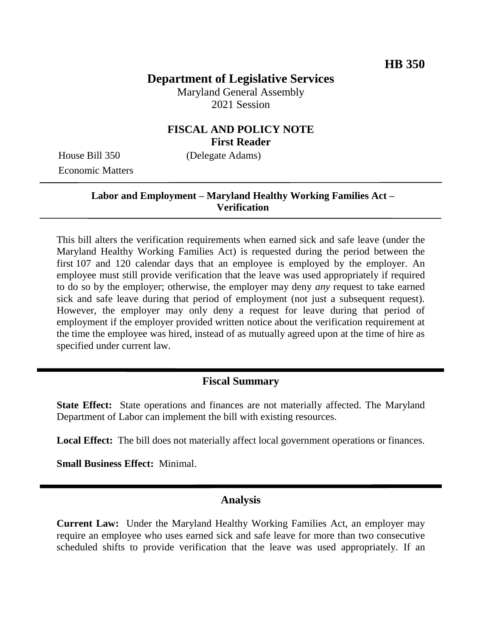# **Department of Legislative Services**

Maryland General Assembly 2021 Session

# **FISCAL AND POLICY NOTE First Reader**

Economic Matters

House Bill 350 (Delegate Adams)

# **Labor and Employment – Maryland Healthy Working Families Act – Verification**

This bill alters the verification requirements when earned sick and safe leave (under the Maryland Healthy Working Families Act) is requested during the period between the first 107 and 120 calendar days that an employee is employed by the employer. An employee must still provide verification that the leave was used appropriately if required to do so by the employer; otherwise, the employer may deny *any* request to take earned sick and safe leave during that period of employment (not just a subsequent request). However, the employer may only deny a request for leave during that period of employment if the employer provided written notice about the verification requirement at the time the employee was hired, instead of as mutually agreed upon at the time of hire as specified under current law.

# **Fiscal Summary**

**State Effect:** State operations and finances are not materially affected. The Maryland Department of Labor can implement the bill with existing resources.

**Local Effect:** The bill does not materially affect local government operations or finances.

**Small Business Effect:** Minimal.

# **Analysis**

**Current Law:** Under the Maryland Healthy Working Families Act, an employer may require an employee who uses earned sick and safe leave for more than two consecutive scheduled shifts to provide verification that the leave was used appropriately. If an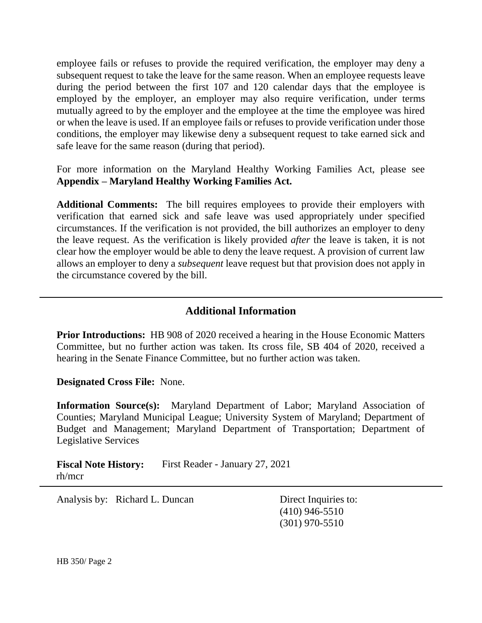employee fails or refuses to provide the required verification, the employer may deny a subsequent request to take the leave for the same reason. When an employee requests leave during the period between the first 107 and 120 calendar days that the employee is employed by the employer, an employer may also require verification, under terms mutually agreed to by the employer and the employee at the time the employee was hired or when the leave is used. If an employee fails or refuses to provide verification under those conditions, the employer may likewise deny a subsequent request to take earned sick and safe leave for the same reason (during that period).

For more information on the Maryland Healthy Working Families Act, please see **Appendix – Maryland Healthy Working Families Act.**

**Additional Comments:** The bill requires employees to provide their employers with verification that earned sick and safe leave was used appropriately under specified circumstances. If the verification is not provided, the bill authorizes an employer to deny the leave request. As the verification is likely provided *after* the leave is taken, it is not clear how the employer would be able to deny the leave request. A provision of current law allows an employer to deny a *subsequent* leave request but that provision does not apply in the circumstance covered by the bill.

# **Additional Information**

**Prior Introductions:** HB 908 of 2020 received a hearing in the House Economic Matters Committee, but no further action was taken. Its cross file, SB 404 of 2020, received a hearing in the Senate Finance Committee, but no further action was taken.

**Designated Cross File:** None.

**Information Source(s):** Maryland Department of Labor; Maryland Association of Counties; Maryland Municipal League; University System of Maryland; Department of Budget and Management; Maryland Department of Transportation; Department of Legislative Services

**Fiscal Note History:** First Reader - January 27, 2021 rh/mcr

Analysis by: Richard L. Duncan Direct Inquiries to:

(410) 946-5510 (301) 970-5510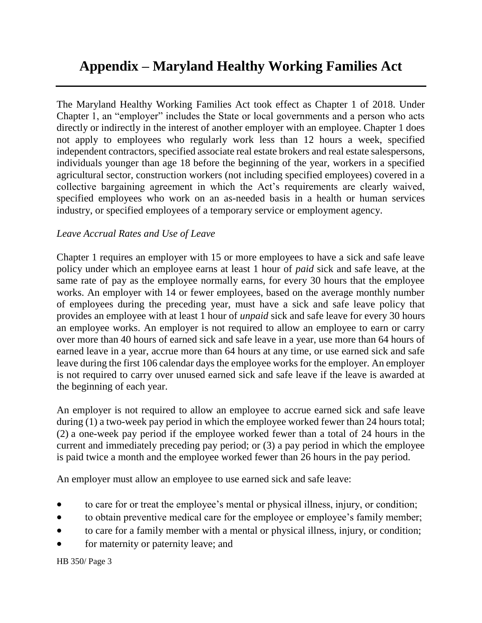# **Appendix – Maryland Healthy Working Families Act**

The Maryland Healthy Working Families Act took effect as Chapter 1 of 2018. Under Chapter 1, an "employer" includes the State or local governments and a person who acts directly or indirectly in the interest of another employer with an employee. Chapter 1 does not apply to employees who regularly work less than 12 hours a week, specified independent contractors, specified associate real estate brokers and real estate salespersons, individuals younger than age 18 before the beginning of the year, workers in a specified agricultural sector, construction workers (not including specified employees) covered in a collective bargaining agreement in which the Act's requirements are clearly waived, specified employees who work on an as-needed basis in a health or human services industry, or specified employees of a temporary service or employment agency.

#### *Leave Accrual Rates and Use of Leave*

Chapter 1 requires an employer with 15 or more employees to have a sick and safe leave policy under which an employee earns at least 1 hour of *paid* sick and safe leave, at the same rate of pay as the employee normally earns, for every 30 hours that the employee works. An employer with 14 or fewer employees, based on the average monthly number of employees during the preceding year, must have a sick and safe leave policy that provides an employee with at least 1 hour of *unpaid* sick and safe leave for every 30 hours an employee works. An employer is not required to allow an employee to earn or carry over more than 40 hours of earned sick and safe leave in a year, use more than 64 hours of earned leave in a year, accrue more than 64 hours at any time, or use earned sick and safe leave during the first 106 calendar days the employee works for the employer. An employer is not required to carry over unused earned sick and safe leave if the leave is awarded at the beginning of each year.

An employer is not required to allow an employee to accrue earned sick and safe leave during (1) a two-week pay period in which the employee worked fewer than 24 hours total; (2) a one-week pay period if the employee worked fewer than a total of 24 hours in the current and immediately preceding pay period; or (3) a pay period in which the employee is paid twice a month and the employee worked fewer than 26 hours in the pay period.

An employer must allow an employee to use earned sick and safe leave:

- to care for or treat the employee's mental or physical illness, injury, or condition;
- to obtain preventive medical care for the employee or employee's family member;
- to care for a family member with a mental or physical illness, injury, or condition;
- for maternity or paternity leave; and

HB 350/ Page 3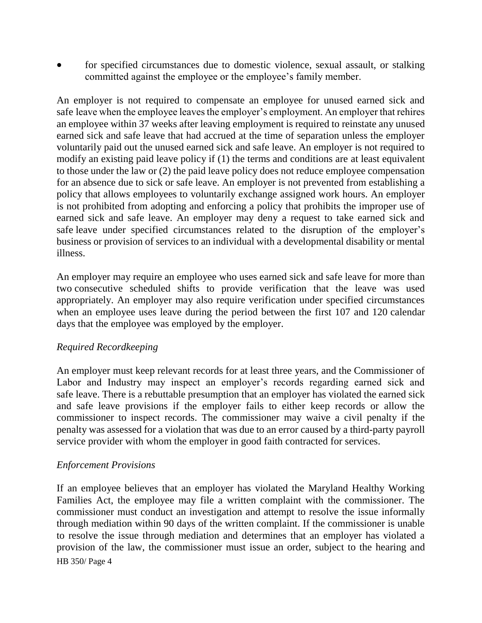for specified circumstances due to domestic violence, sexual assault, or stalking committed against the employee or the employee's family member.

An employer is not required to compensate an employee for unused earned sick and safe leave when the employee leaves the employer's employment. An employer that rehires an employee within 37 weeks after leaving employment is required to reinstate any unused earned sick and safe leave that had accrued at the time of separation unless the employer voluntarily paid out the unused earned sick and safe leave. An employer is not required to modify an existing paid leave policy if (1) the terms and conditions are at least equivalent to those under the law or (2) the paid leave policy does not reduce employee compensation for an absence due to sick or safe leave. An employer is not prevented from establishing a policy that allows employees to voluntarily exchange assigned work hours. An employer is not prohibited from adopting and enforcing a policy that prohibits the improper use of earned sick and safe leave. An employer may deny a request to take earned sick and safe leave under specified circumstances related to the disruption of the employer's business or provision of services to an individual with a developmental disability or mental illness.

An employer may require an employee who uses earned sick and safe leave for more than two consecutive scheduled shifts to provide verification that the leave was used appropriately. An employer may also require verification under specified circumstances when an employee uses leave during the period between the first 107 and 120 calendar days that the employee was employed by the employer.

# *Required Recordkeeping*

An employer must keep relevant records for at least three years, and the Commissioner of Labor and Industry may inspect an employer's records regarding earned sick and safe leave. There is a rebuttable presumption that an employer has violated the earned sick and safe leave provisions if the employer fails to either keep records or allow the commissioner to inspect records. The commissioner may waive a civil penalty if the penalty was assessed for a violation that was due to an error caused by a third-party payroll service provider with whom the employer in good faith contracted for services.

#### *Enforcement Provisions*

HB 350/ Page 4 If an employee believes that an employer has violated the Maryland Healthy Working Families Act, the employee may file a written complaint with the commissioner. The commissioner must conduct an investigation and attempt to resolve the issue informally through mediation within 90 days of the written complaint. If the commissioner is unable to resolve the issue through mediation and determines that an employer has violated a provision of the law, the commissioner must issue an order, subject to the hearing and